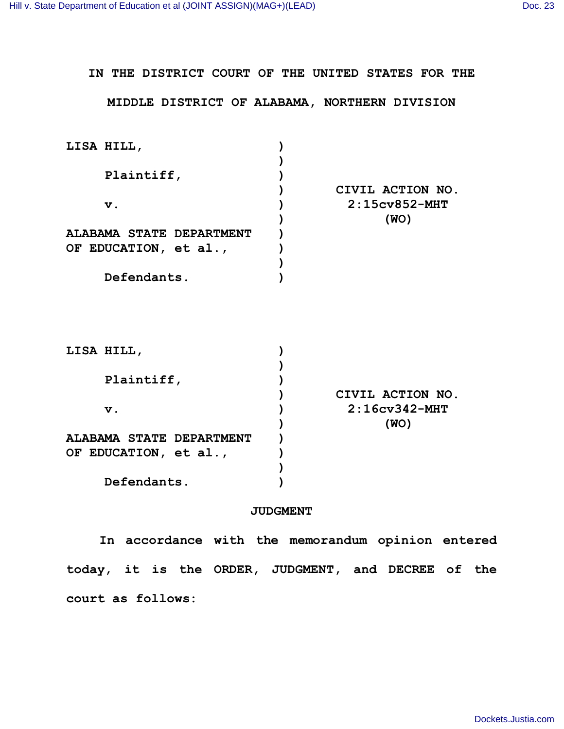## **IN THE DISTRICT COURT OF THE UNITED STATES FOR THE MIDDLE DISTRICT OF ALABAMA, NORTHERN DIVISION LISA HILL, ) ) Plaintiff, ) ) CIVIL ACTION NO. v. ) 2:15cv852-MHT ) (WO) ALABAMA STATE DEPARTMENT OF EDUCATION, et al., ) ) ) Defendants. ) LISA HILL, ) ) Plaintiff, ) ) CIVIL ACTION NO. v. ) 2:16cv342-MHT ) (WO) ALABAMA STATE DEPARTMENT OF EDUCATION, et al., ) ) ) Defendants. )**

## **JUDGMENT**

**In accordance with the memorandum opinion entered today, it is the ORDER, JUDGMENT, and DECREE of the court as follows:**